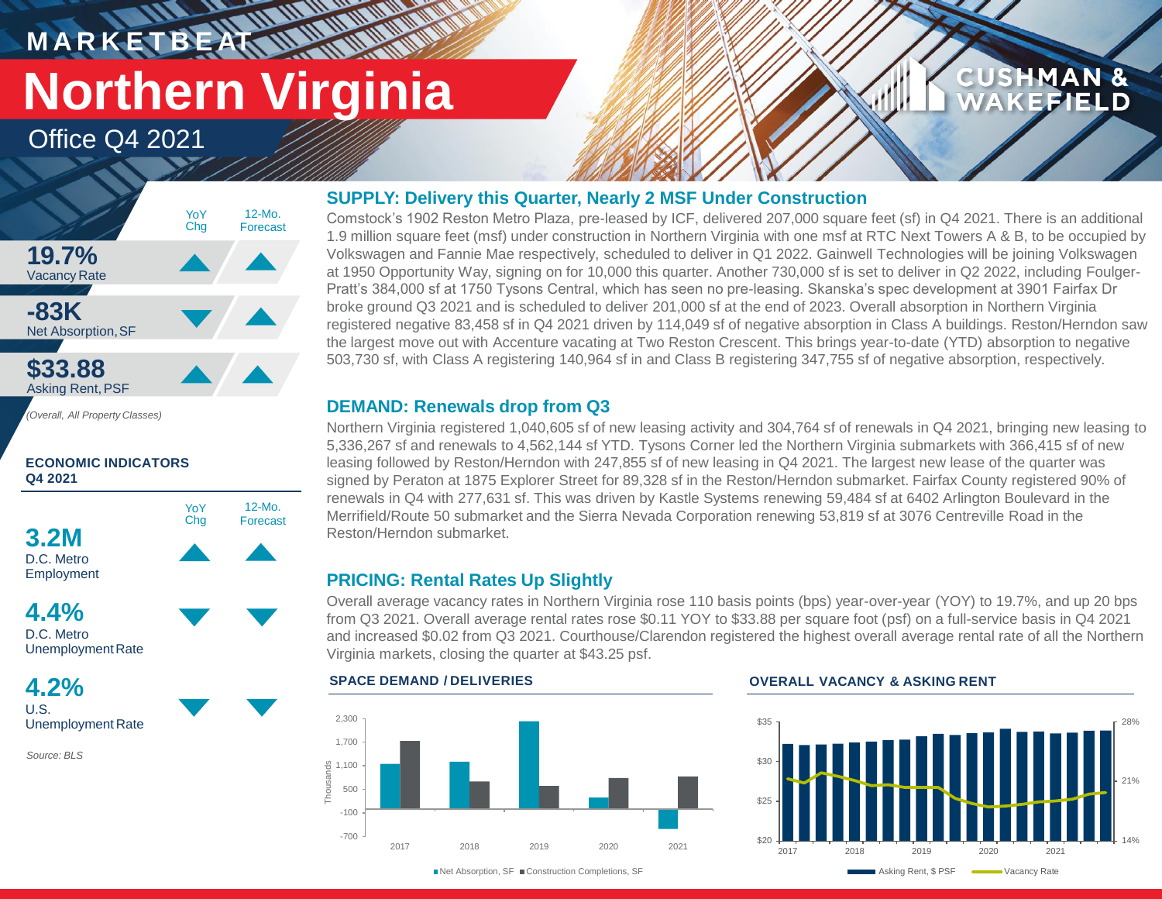## **M A R K E T B E AT Northern Virginia**

**MANARA** 

Office Q4 2021



**ECONOMIC INDICATORS Q4 2021**



D.C. Metro UnemploymentRate

**4.2%** U.S. Unemployment Rate

*Source: BLS*

#### **SUPPLY: Delivery this Quarter, Nearly 2 MSF Under Construction**

Comstock's 1902 Reston Metro Plaza, pre-leased by ICF, delivered 207,000 square feet (sf) in Q4 2021. There is an additional 1.9 million square feet (msf) under construction in Northern Virginia with one msf at RTC Next Towers A & B, to be occupied by Volkswagen and Fannie Mae respectively, scheduled to deliver in Q1 2022. Gainwell Technologies will be joining Volkswagen at 1950 Opportunity Way, signing on for 10,000 this quarter. Another 730,000 sf is set to deliver in Q2 2022, including Foulger-Pratt's 384,000 sf at 1750 Tysons Central, which has seen no pre-leasing. Skanska's spec development at 3901 Fairfax Dr broke ground Q3 2021 and is scheduled to deliver 201,000 sf at the end of 2023. Overall absorption in Northern Virginia registered negative 83,458 sf in Q4 2021 driven by 114,049 sf of negative absorption in Class A buildings. Reston/Herndon saw the largest move out with Accenture vacating at Two Reston Crescent. This brings year-to-date (YTD) absorption to negative 503,730 sf, with Class A registering 140,964 sf in and Class B registering 347,755 sf of negative absorption, respectively.

#### **DEMAND: Renewals drop from Q3**

Northern Virginia registered 1,040,605 sf of new leasing activity and 304,764 sf of renewals in Q4 2021, bringing new leasing to 5,336,267 sf and renewals to 4,562,144 sf YTD. Tysons Corner led the Northern Virginia submarkets with 366,415 sf of new leasing followed by Reston/Herndon with 247,855 sf of new leasing in Q4 2021. The largest new lease of the quarter was signed by Peraton at 1875 Explorer Street for 89,328 sf in the Reston/Herndon submarket. Fairfax County registered 90% of renewals in Q4 with 277,631 sf. This was driven by Kastle Systems renewing 59,484 sf at 6402 Arlington Boulevard in the Merrifield/Route 50 submarket and the Sierra Nevada Corporation renewing 53,819 sf at 3076 Centreville Road in the Reston/Herndon submarket.

### **PRICING: Rental Rates Up Slightly**

Overall average vacancy rates in Northern Virginia rose 110 basis points (bps) year-over-year (YOY) to 19.7%, and up 20 bps from Q3 2021. Overall average rental rates rose \$0.11 YOY to \$33.88 per square foot (psf) on a full-service basis in Q4 2021 and increased \$0.02 from Q3 2021. Courthouse/Clarendon registered the highest overall average rental rate of all the Northern Virginia markets, closing the quarter at \$43.25 psf.



#### **SPACE DEMAND / DELIVERIES OVERALL VACANCY & ASKING RENT**



**CUSHMAN &** 

**CEFIELD** 

■Net Absorption, SF ■ Construction Completions, SF